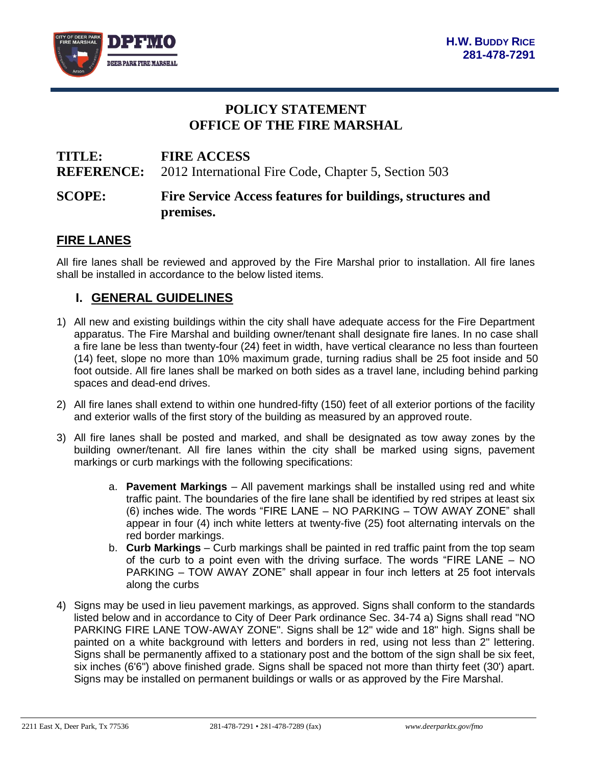

## **POLICY STATEMENT OFFICE OF THE FIRE MARSHAL**

# **TITLE: FIRE ACCESS REFERENCE:** 2012 International Fire Code, Chapter 5, Section 503 **SCOPE: Fire Service Access features for buildings, structures and premises.**

#### **FIRE LANES**

All fire lanes shall be reviewed and approved by the Fire Marshal prior to installation. All fire lanes shall be installed in accordance to the below listed items.

#### **I. GENERAL GUIDELINES**

- 1) All new and existing buildings within the city shall have adequate access for the Fire Department apparatus. The Fire Marshal and building owner/tenant shall designate fire lanes. In no case shall a fire lane be less than twenty-four (24) feet in width, have vertical clearance no less than fourteen (14) feet, slope no more than 10% maximum grade, turning radius shall be 25 foot inside and 50 foot outside. All fire lanes shall be marked on both sides as a travel lane, including behind parking spaces and dead-end drives.
- 2) All fire lanes shall extend to within one hundred-fifty (150) feet of all exterior portions of the facility and exterior walls of the first story of the building as measured by an approved route.
- 3) All fire lanes shall be posted and marked, and shall be designated as tow away zones by the building owner/tenant. All fire lanes within the city shall be marked using signs, pavement markings or curb markings with the following specifications:
	- a. **Pavement Markings** All pavement markings shall be installed using red and white traffic paint. The boundaries of the fire lane shall be identified by red stripes at least six (6) inches wide. The words "FIRE LANE – NO PARKING – TOW AWAY ZONE" shall appear in four (4) inch white letters at twenty-five (25) foot alternating intervals on the red border markings.
	- b. **Curb Markings** Curb markings shall be painted in red traffic paint from the top seam of the curb to a point even with the driving surface. The words "FIRE LANE – NO PARKING – TOW AWAY ZONE" shall appear in four inch letters at 25 foot intervals along the curbs
- 4) Signs may be used in lieu pavement markings, as approved. Signs shall conform to the standards listed below and in accordance to City of Deer Park ordinance Sec. 34-74 a) Signs shall read "NO PARKING FIRE LANE TOW-AWAY ZONE". Signs shall be 12" wide and 18" high. Signs shall be painted on a white background with letters and borders in red, using not less than 2" lettering. Signs shall be permanently affixed to a stationary post and the bottom of the sign shall be six feet, six inches (6'6") above finished grade. Signs shall be spaced not more than thirty feet (30') apart. Signs may be installed on permanent buildings or walls or as approved by the Fire Marshal.